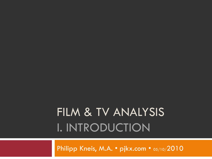## FILM & TV ANALYSIS I. INTRODUCTION

Philipp Kneis, M.A. • pjkx.com • 05/10/2010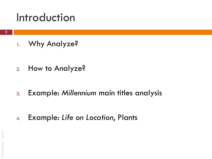### Introduction

1. Why Analyze?

2. How to Analyze?

3. Example: *Millennium* main titles analysis

4. Example: *Life on Location*, Plants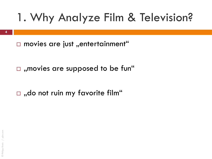$\Box$  movies are just "entertainment"

 $\Box$ , movies are supposed to be fun"

 $\Box$ , do not ruin my favorite film"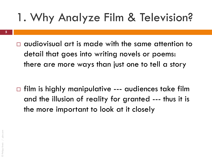- **5**
- $\Box$  audiovisual art is made with the same attention to detail that goes into writing novels or poems: there are more ways than just one to tell a story

 $\Box$  film is highly manipulative --- audiences take film and the illusion of reality for granted --- thus it is the more important to look at it closely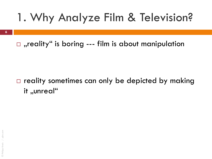**6**

 $\Box$ , reality" is boring --- film is about manipulation

### $\Box$  reality sometimes can only be depicted by making it "unreal"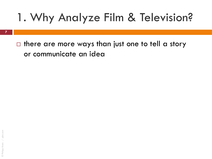**7**

 $\Box$  there are more ways than just one to tell a story or communicate an idea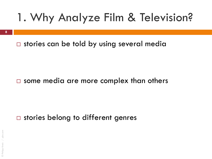**8**

 $\square$  stories can be told by using several media

### $\square$  some media are more complex than others

### $\square$  stories belong to different genres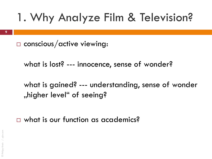$\square$  conscious/active viewing:

what is lost? --- innocence, sense of wonder?

what is gained? --- understanding, sense of wonder "higher level" of seeing?

□ what is our function as academics?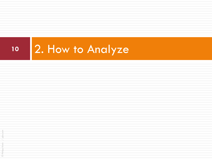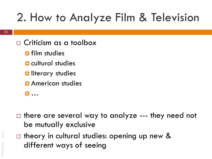## 2. How to Analyze Film & Television

- Criticism as a toolbox
	- **<u>n</u>** film studies
	- **E** cultural studies
	- **D** literary studies
	- **<u>E</u>** American studies
	- …
- $\Box$  there are several way to analyze --- they need not be mutually exclusive
- $\Box$  theory in cultural studies: opening up new & different ways of seeing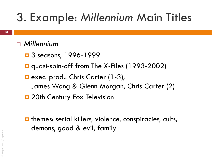### *Millennium*

- $\Box$  3 seasons, 1996-1999
- **Q** quasi-spin-off from The X-Files (1993-2002)
- **E** exec. prod.: Chris Carter (1-3), James Wong & Glenn Morgan, Chris Carter (2)
- **D** 20th Century Fox Television
- $\blacksquare$  themes: serial killers, violence, conspiracies, cults, demons, good & evil, family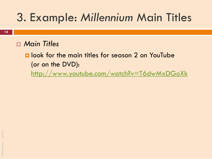### *Main Titles*

 $\blacksquare$  look for the main titles for season 2 on YouTube (or on the DVD):

<http://www.youtube.com/watch?v=T6dwMxDGoXk>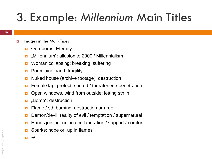- Images in the *Main Titles* 
	- **D** Ouroboros: Eternity
	- m "Millennium": allusion to 2000 / Millennialism
	- **D** Woman collapsing: breaking, suffering
	- **Porcelaine hand: fragility**
	- **D** Nuked house (archive footage): destruction
	- **E** Female lap: protect. sacred / threatened / penetration
	- **D** Open windows, wind from outside: letting sth in
	- **D** "Bomb": destruction
	- **E** Flame / sth burning: destruction or ardor
	- Demon/devil: reality of evil / temptation / supernatural
	- Hands joining: union / collaboration / support / comfort
	- Sparks: hope or "up in flames"
	- $\blacksquare$   $\rightarrow$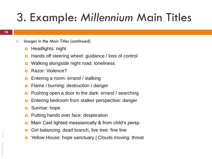- Images in the *Main Titles* (continued)
	- **<u>n</u>** Headlights: night
	- **Hands off steering wheel: guidance / loss of control**
	- **u** Walking alongside night road: loneliness
	- **B** Razor: Violence?
	- **Entering a room: errand / stalking**
	- **E** Flame / burning: destruction / danger
	- **Pushing open a door to the dark: errand / searching**
	- **Entering bedroom from stalker perspective: danger**
	- **B** Sunrise: hope
	- **Putting hands over face: desperation**
	- **n** Main Cast lighted messianically & from child's persp.
	- **Girl balancing, dead branch, live tree: fine line**
	- **D** Yellow House: hope sanctuary | Clouds moving: threat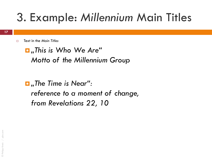Text in the *Main Titles* 

 *"This is Who We Are" Motto of the Millennium Group*

 *"The Time is Near": reference to a moment of change, from Revelations 22, 10*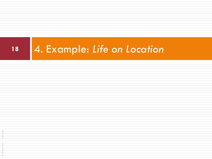## **<sup>18</sup>** 4. Example: *Life on Location*